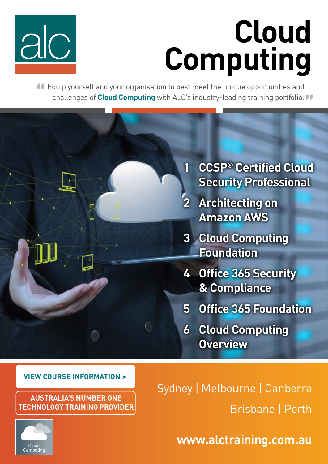

# **Cloud Computing**

 Equip yourself and your organisation to best meet the unique opportunities and **"** challenges of **Cloud Computing** with ALC's industry-leading training portfolio. **"**



### **VIEW COURSE INFORMATION >**

**Australia's Number one TECHNOLOGY Training Provider** Sydney | Melbourne | Canberra Brisbane | Perth

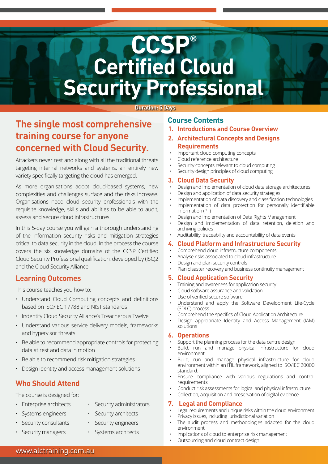# **CCSP® Certified Cloud Security Professional**

#### **Duration: 5 Days**

### **The single most comprehensive training course for anyone concerned with Cloud Security.**

Attackers never rest and along with all the traditional threats targeting internal networks and systems, an entirely new variety specifically targeting the cloud has emerged.

As more organisations adopt cloud-based systems, new complexities and challenges surface and the risks increase. Organisations need cloud security professionals with the requisite knowledge, skills and abilities to be able to audit, assess and secure cloud infrastructures.

In this 5-day course you will gain a thorough understanding of the information security risks and mitigation strategies critical to data security in the cloud. In the process the course covers the six knowledge domains of the CCSP Certified Cloud Security Professional qualification, developed by (ISC)2 and the Cloud Security Alliance.

#### **Learning Outcomes**

This course teaches you how to:

- Understand Cloud Computing concepts and definitions based on ISO/IEC 17788 and NIST standards
- Indentify Cloud Security Alliance's Treacherous Twelve
- Understand various service delivery models, frameworks and hypervisor threats
- Be able to recommend appropriate controls for protecting data at rest and data in motion
- Be able to recommend risk mitigation strategies
- Design identity and access management solutions

### **Who Should Attend**

The course is designed for:

- Enterprise architects Security administrators
	-
- Systems engineers Security architects
- Security consultants Security engineers
- Security managers Systems architects

**1. Introductions and Course Overview**

**Course Contents**

- **2. Architectural Concepts and Designs Requirements**
- Important cloud computing concepts
- Cloud reference architecture
- Security concepts relevant to cloud computing
- Security design principles of cloud computing

#### **3. Cloud Data Security**

- Design and implementation of cloud data storage architectures
- Design and application of data security strategies
- Implementation of data discovery and classification technologies Implementation of data protection for personally identifiable
- information (PII) • Design and implementation of Data Rights Management
- Design and implementation of data retention, deletion and archiving policies
- Auditability, traceability and accountability of data events

#### **4. Cloud Platform and Infrastructure Security**

- Comprehend cloud infrastructure components
- Analyse risks associated to cloud infrastructure
- Design and plan security controls
- Plan disaster recovery and business continuity management

#### **5. Cloud Application Security**

- Training and awareness for application security
- Cloud software assurance and validation
- Use of verified secure software
- Understand and apply the Software Development Life-Cycle (SDLC) process
- Comprehend the specifics of Cloud Application Architecture
- Design appropriate Identity and Access Management (IAM) solutions

#### **6. Operations**

- Support the planning process for the data centre design
- Build, run and manage physical infrastructure for cloud environment
- Build, run and manage physical infrastructure for cloud environment within an ITIL framework, aligned to ISO/IEC 20000 standard.
- Ensure compliance with various regulations and control requirements
- Conduct risk assessments for logical and physical infrastructure
- Collection, acquisition and preservation of digital evidence

#### **7. Legal and Compliance**

- Legal requirements and unique risks within the cloud environment
- Privacy issues, including jurisdictional variation
- The audit process and methodologies adapted for the cloud environment
- Implications of cloud to enterprise risk management
- Outsourcing and cloud contract design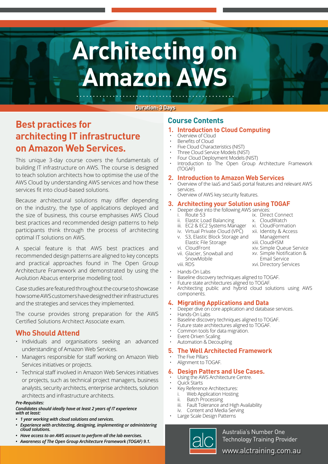# **Architecting on Amazon AWS**

#### **Duration: 3 Days**

## **Course Contents Best practices for architecting IT infrastructure on Amazon Web Services.**

This unique 3-day course covers the fundamentals of building IT infrastructure on AWS. The course is designed to teach solution architects how to optimise the use of the AWS Cloud by understanding AWS services and how these services fit into cloud-based solutions.

Because architectural solutions may differ depending on the industry, the type of applications deployed and the size of business, this course emphasises AWS Cloud best practices and recommended design patterns to help participants think through the process of architecting optimal IT solutions on AWS.

A special feature is that AWS best practices and recommended design patterns are aligned to key concepts and practical approaches found in The Open Group Architecture Framework and demonstrated by using the Avolution Abacus enterprise modelling tool.

Case studies are featured throughout the course to showcase how some AWS customers have designed their infrastructures and the strategies and services they implemented.

The course provides strong preparation for the AWS Certified Solutions Architect Associate exam.

#### **Who Should Attend**

- Individuals and organisations seeking an advanced understanding of Amazon Web Services.
- Managers responsible for staff working on Amazon Web Services initiatives or projects.
- Technical staff involved in Amazon Web Services initiatives or projects, such as technical project managers, business analysts, security architects, enterprise architects, solution architects and infrastructure architects.

#### *Pre-Requisites:*

#### *Candidates should ideally have at least 2 years of IT experience with at least:*

- *• 1 year working with cloud solutions and services.*
- *• Experience with architecting, designing, implementing or administering cloud solutions.*
- *• Have access to an AWS account to perform all the lab exercises.*
- 

*• Awareness of The Open Group Architecture Framework (TOGAF) 9.1.*

#### **1. Introduction to Cloud Computing**

- Overview of Cloud
- Benefits of Cloud
- Five Cloud Characteristics (NIST)
- Three Cloud Service Models (NIST)
- Four Cloud Deployment Models (NIST)
- Introduction to The Open Group Architecture Framework (TOGAF)

#### **2. Introduction to Amazon Web Services**

- Overview of the IaaS and SaaS portal features and relevant AWS services.
- Overview of AWS key security features.

#### **3. Architecting your Solution using TOGAF**

- Deeper dive into the following AWS services:
	- i. Route 53
	- ii. Elastic Load Balancing
	- iii. EC2 & EC2 Systems Manager
	- iv. Virtual Private Cloud (VPC)
	- v. S3, Elastic Block Storage and Elastic File Storage
	- vi. CloudFront
	- vii. Glacier, Snowball and SnowMobile viii. RDS
- xiv. Simple Queue Service xv. Simple Notification & Email Service xvi. Directory Services
- Hands-On Labs
- Baseline discovery techniques aligned to TOGAF.
- Future state architectures aligned to TOGAF.
- Architecting public and hybrid cloud solutions using AWS components.

#### **4. Migrating Applications and Data**

- Deeper dive on core application and database services.
- Hands-On Labs
- Baseline discovery techniques aligned to TOGAF.
- Future state architectures aligned to TOGAF.
- Common tools for data migration.
- Event-Driven Scaling • Automation & Decoupling

#### **5. The Well Architected Framework**

The Five Pillars • Alignment to TOGAF.

#### **6. Design Patters and Use Cases.**

- Using the AWS Architecture Centre.
- Quick Starts
- Key Reference Architectures:
- Web Application Hosting
- ii. Batch Processing
- iii. Fault Tolerance and High Availability
- iv. Content and Media Serving
- Large Scale Design Patterns



Australia's Number One Technology Training Provider

www.alctraining.com.au

x. CloudWatch xi. CloudFormation xii. Identity & Access Management

xiii. CloudHSM

ix. Direct Connect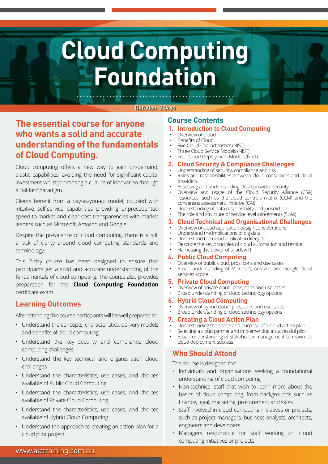# **Cloud Computing Foundation**

#### **Duration: 2 Days**

### **Course Contents The essential course for anyone who wants a solid and accurate understanding of the fundamentals of Cloud Computing.**

Cloud computing offers a new way to gain on-demand, elastic capabilities, avoiding the need for significant capital investment whilst promoting a culture of innovation through a 'fail-fast' paradigm.

Clients benefit from a pay-as-you-go model, coupled with intuitive self-service capabilities providing unprecedented speed-to-market and clear cost transparencies with market leaders such as Microsoft, Amazon and Google.

Despite the prevalence of cloud computing, there is a still a lack of clarity around cloud computing standards and terminology.

This 2-day course has been designed to ensure that participants get a solid and accurate understanding of the fundamentals of cloud computing. The course also provides preparation for the **Cloud Computing Foundation**  certificate exam.

#### **Learning Outcomes**

After attending this course participants will be well prepared to:

- Understand the concepts, characteristics, delivery models and benefits of cloud computing
- Understand the key security and compliance cloud computing challenges
- Understand the key technical and organis ation cloud challenges
- Understand the characteristics, use cases, and choices available of Public Cloud Computing
- Understand the characteristics, use cases, and choices available of Private Cloud Computing
- Understand the characteristics, use cases, and choices available of Hybrid Cloud Computing
- Understand the approach to creating an action plan for a cloud pilot project.

#### **1. Introduction to Cloud Computing**

- Overview of Cloud
- Benefits of Cloud
- Five Cloud Characteristics (NIST)
- Three Cloud Service Models (NIST)
- Four Cloud Deployment Models (NIST)

#### **2. Cloud Security & Compliance Challenges**

- Understanding of security, compliance and risk
- Roles and responsibilities between cloud consumers and cloud providers
- Assessing and understanding cloud provider security
- Overview and usage of the Cloud Security Alliance (CSA) resources, such as the cloud controls matrix (CCM) and the consensus assessment initiative (CAI)
- Understanding of data responsibility and jurisdiction
- The role and structure of service level agreements (SLAs)

#### **3. Cloud Technical and Organisational Challenges**

- Overview of cloud application design considerations
- Understand the implications of big data
- Understand the cloud application lifecycle
- Describe the key principles of cloud automation and testing

#### • Harnessing the power of shadow IT **4. Public Cloud Computing**

- Overview of public cloud, pros, cons and use cases
- Broad understanding of Microsoft, Amazon and Google cloud services scope

#### **5. Private Cloud Computing**

- Overview of private cloud, pros, cons and use cases
- Broad understanding of cloud technology options

#### **6. Hybrid Cloud Computing**

- Overview of hybrid cloud, pros, cons and use cases
- Broad understanding of cloud technology options

#### **7. Creating a Cloud Action Plan**

- Understanding the scope and purpose of a cloud action plan
- Selecting a cloud partner and implementing a successful pilot
- Broad understanding of stakeholder management to maximise cloud deployment success.

### **Who Should Attend**

The course is designed for:

- Individuals and organisations seeking a foundational understanding of cloud computing
- Non-technical staff that wish to learn more about the basics of cloud computing, from backgrounds such as finance, legal, marketing, procurement and sales
- Staff involved in cloud computing initiatives or projects, such as project managers, business analysts, architects, engineers and developers
- Managers responsible for staff working on cloud computing initiatives or projects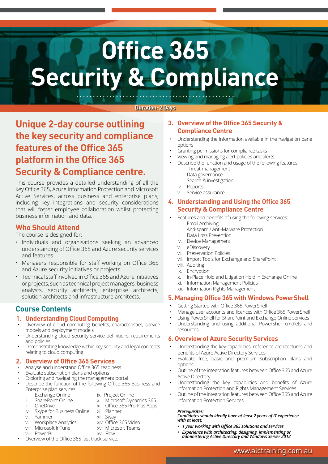# **Office 365 Security & Compliance**

#### **Duration: 2 Days**

## **Unique 2-day course outlining the key security and compliance features of the Office 365 platform in the Office 365 Security & Compliance centre.**

This course provides a detailed understanding of all the key Office 365, Azure Information Protection and Microsoft Active Services, across business and enterprise plans, including key integrations and security considerations that will foster employee collaboration whilst protecting business information and data.

#### **Who Should Attend**

The course is designed for:

- Individuals and organisations seeking an advanced understanding of Office 365 and Azure security services and features
- Managers responsible for staff working on Office 365 and Azure security initiatives or projects
- Technical staff involved in Office 365 and Azure initiatives or projects, such as technical project managers, business analysts, security architects, enterprise architects, solution architects and infrastructure architects.

#### **Course Contents**

#### **1. Understanding Cloud Computing**

- Overview of cloud computing benefits, characteristics, service models and deployment models
- Understanding cloud security service definitions, requirements and policies
- Demonstrating knowledge within key security and legal concepts relating to cloud computing

#### **2. Overview of Office 365 Services**

- Analyse and understand Office 365 readiness
- Evaluate subscription plans and options
- Exploring and navigating the management portal
- Describe the function of the following Office 365 Business and
	- Enterprise plan services:<br>i. Exchange Online
	- i. Exchange Online ix. Project Online
	- ii. SharePoint Online x. Microsoft Dynamics 365
	- iii. OneDrive xi. Office 365 Pro Plus Apps
	-
- -
- vii. Microsoft InTune xv. Microsoft Teams
- viii. PowerBI

#### iv. Skype for Business Online xii. Planner Yammer xiii. Sway

- vi. Workplace Analytics xiv. Office 365 Video
	-
	-
- Overview of the Office 365 fast track service.

#### **3. Overview of the Office 365 Security & Compliance Centre**

- Understanding the information available in the navigation pane options
- Granting permissions for compliance tasks
- Viewing and managing alert policies and alerts
- Describe the function and usage of the following features:
	- i. Threat management
	- ii. Data governance
	- iii. Search & investigation
	- iv. Reports
- v. Service assurance

#### **4. Understanding and Using the Office 365 Security & Compliance Centre**

- Features and benefits of using the following services:
	- i. Email Archiving
	- ii. Anti-spam / Anti-Malware Protection
	- iii. Data Loss Prevention
	- iv. Device Management
	- v. eDiscovery
	- vi. Preservation Policies
	- vii. Import Tools for Exchange and SharePoint
	- viii. Auditing
	- ix. Encryption
	- x. In-Place Hold and Litigation Hold in Exchange Online
	- xi. Information Management Policies
	- xii. Information Rights Management

#### **5. Managing Office 365 with Windows PowerShell**

- Getting Started with Office 365 PowerShell
- Manage user accounts and licences with Office 365 PowerShell
- Using PowerShell for SharePoint and Exchange Online services
- Understanding and using additional PowerShell cmdlets and resources.

#### **6. Overview of Azure Security Services**

- Understanding the key capabilities, reference architectures and benefits of Azure Active Directory Services
- Evaluate free, basic and premium subscription plans and options
- Outline of the integration features between Office 365 and Azure Active Directory
- Understanding the key capabilities and benefits of Azure Information Protection and Rights Management Services
- Outline of the integration features between Office 365 and Azure Information Protection Services.

#### *Prerequisites:*

*Candidates should ideally have at least 2 years of IT experience with at least:*

- *• 1 year working with Office 365 solutions and services*
- *• Experience with architecting, designing, implementing or administering Active Directory and Windows Server 2012*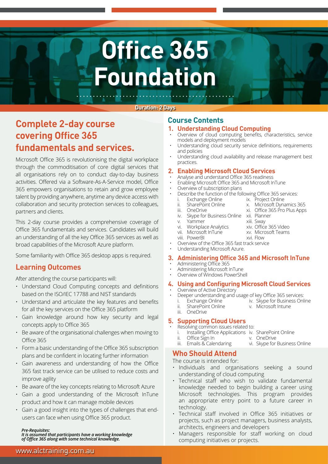# **Office 365 Foundation**

#### **Duration: 2 Days**

## **Course Contents Complete 2-day course covering Office 365 fundamentals and services.**

Microsoft Office 365 is revolutionising the digital workplace through the commoditisation of core digital services that all organisations rely on to conduct day-to-day business activities. Offered via a Software-As-A-Service model, Office 365 empowers organisations to retain and grow employee talent by providing anywhere, anytime any device access with collaboration and security protection services to colleagues, partners and clients.

This 2-day course provides a comprehensive coverage of Office 365 fundamentals and services. Candidates will build an understanding of all the key Office 365 services as well as broad capabilities of the Microsoft Azure platform.

Some familiarity with Office 365 desktop apps is required.

### **Learning Outcomes**

After attending the course participants will:

- Understand Cloud Computing concepts and definitions based on the ISO/IEC 17788 and NIST standards
- Understand and articulate the key features and benefits for all the key services on the Office 365 platform
- Gain knowledge around how key security and legal concepts apply to Office 365
- Be aware of the organisational challenges when moving to Office 365
- Form a basic understanding of the Office 365 subscription plans and be confident in locating further information
- Gain awareness and understanding of how the Office 365 fast track service can be utilised to reduce costs and improve agility
- Be aware of the key concepts relating to Microsoft Azure
- Gain a good understanding of the Microsoft InTune product and how it can manage mobile devices
- Gain a good insight into the types of challenges that endusers can face when using Office 365 product.

#### *Pre-Requisites:*

*It is assumed that participants have a working knowledge of Office 365 along with some technical knowledge.*

#### **1. Understanding Cloud Computing**

- Overview of cloud computing benefits, characteristics, service models and deployment models
- Understanding cloud security service definitions, requirements and policies
- Understanding cloud availability and release management best practices.

#### **2. Enabling Microsoft Cloud Services**

- Analyse and understand Office 365 readiness
- Enabling Microsoft Office 365 and Microsoft InTune
- Overview of subscription plans
- Describe the function of the following Office 365 services:
	- i. Exchange Online ix. Project Online
	- ii. SharePoint Online x. Microsoft Dynamics 365<br>iii. OneDrive xi. Office 365 Pro Plus Apps
		-
- xi. Office 365 Pro Plus Apps
- iv. Skype for Business Online xii. Planner<br>v. Yammer xiii. Swav
- v. Yammer xiii. Sway
- vi. Workplace Analytics xiv. Office 365 Video<br>vii. Microsoft InTune xv. Microsoft Teams
- vii. Microsoft InTune xv. Microsoft InTune xv. Microsoft InTune viii. PowerBI
- Overview of the Office 365 fast track service
- Understanding Microsoft Azure.

#### **3. Administering Office 365 and Microsoft InTune**

- Administering Office 365
- Administering Microsoft InTune
- Overview of Windows PowerShell

#### **4. Using and Configuring Microsoft Cloud Services** Overview of Active Directory

- Deeper understanding and usage of key Office 365 services:
	- Exchange Online iv. Skype for Business Online<br>SharePoint Online v. Microsoft Intune
	- ii. SharePoint Online v. Microsoft Intune
- iii. OneDrive

#### **5. Supporting Cloud Users**

- Resolving common issues related to:
	- i. Installing Office Applications iv. SharePoint Online<br>ii. Office Sign In v. OneDrive
	- ii. Office Sign In<br>iii. Emails & Calendaring
		-

### **Who Should Attend**

The course is intended for:

- Individuals and organisations seeking a sound understanding of cloud computing
- Technical staff who wish to validate fundamental knowledge needed to begin building a career using Microsoft technologies. This program provides an appropriate entry point to a future career in technology.
- Technical staff involved in Office 365 initiatives or projects, such as project managers, business analysts, architects, engineers and developers
- Managers responsible for staff working on cloud computing initiatives or projects.
- 
- 
- - vi. Skype for Business Online
- 
- 
-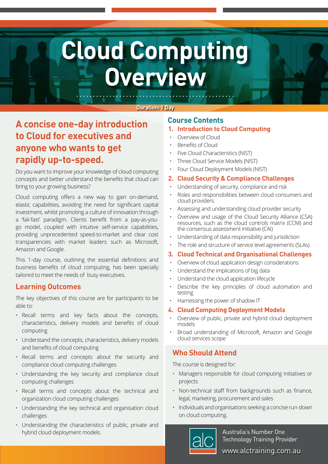# **Cloud Computing Overview**

#### **Duration: 1 Day**

## **A concise one-day introduction to Cloud for executives and anyone who wants to get rapidly up-to-speed.**

Do you want to improve your knowledge of cloud computing concepts and better understand the benefits that cloud can bring to your growing business?

Cloud computing offers a new way to gain on-demand, elastic capabilities, avoiding the need for significant capital investment, whilst promoting a culture of innovation through a 'fail-fast' paradigm. Clients benefit from a pay-as-yougo model, coupled with intuitive self-service capabilities, providing unprecedented speed-to-market and clear cost transparencies with market leaders such as Microsoft, Amazon and Google.

This 1-day course, outlining the essential definitions and business benefits of cloud computing, has been specially tailored to meet the needs of busy executives.

#### **Learning Outcomes**

The key objectives of this course are for participants to be able to:

- Recall terms and key facts about the concepts, characteristics, delivery models and benefits of cloud computing
- Understand the concepts, characteristics, delivery models and benefits of cloud computing
- Recall terms and concepts about the security and compliance cloud computing challenges
- Understanding the key security and compliance cloud computing challenges
- Recall terms and concepts about the technical and organization cloud computing challenges
- Understanding the key technical and organisation cloud challenges
- Understanding the characteristics of public, private and hybrid cloud deployment models.

### **Course Contents**

#### **1. Introduction to Cloud Computing**

- Overview of Cloud
- Benefits of Cloud
- Five Cloud Characteristics (NIST)
- Three Cloud Service Models (NIST)
- Four Cloud Deployment Models (NIST)

#### **2. Cloud Security & Compliance Challenges**

- Understanding of security, compliance and risk
- Roles and responsibilities between cloud consumers and cloud providers
- Assessing and understanding cloud provider security
- Overview and usage of the Cloud Security Alliance (CSA) resources, such as the cloud controls matrix (CCM) and the consensus assessment initiative (CAI)
- Understanding of data responsibility and jurisdiction
- The role and structure of service level agreements (SLAs)

#### **3. Cloud Technical and Organisational Challenges**

- Overview of cloud application design considerations
- Understand the implications of big data
- Understand the cloud application lifecycle
- Describe the key principles of cloud automation and testing
- Harnessing the power of shadow IT

#### **4. Cloud Computing Deployment Models**

- Overview of public, private and hybrid cloud deployment models
- Broad understanding of Microsoft, Amazon and Google cloud services scope

### **Who Should Attend**

The course is designed for:

- Managers responsible for cloud computing initiatives or projects
- Non-technical staff from backgrounds such as finance, legal, marketing, procurement and sales
- Individuals and organisations seeking a concise run-down on cloud computing.



Australia's Number One Technology Training Provider